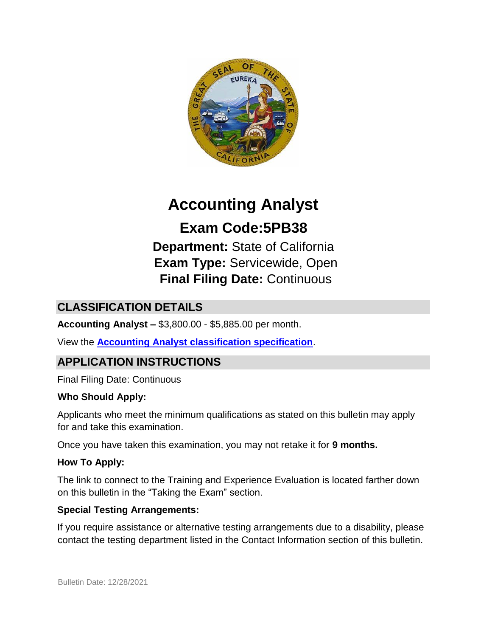

# **Accounting Analyst Exam Code:5PB38**

**Department:** State of California **Exam Type:** Servicewide, Open **Final Filing Date:** Continuous

# **CLASSIFICATION DETAILS**

**Accounting Analyst –** \$3,800.00 - \$5,885.00 per month.

View the **[Accounting Analyst classification specification](http://www.calhr.ca.gov/state-hr-professionals/pages/4582.aspx)**[.](http://www.calhr.ca.gov/state-hr-professionals/pages/4582.aspx)

# **APPLICATION INSTRUCTIONS**

Final Filing Date: Continuous

#### **Who Should Apply:**

Applicants who meet the minimum qualifications as stated on this bulletin may apply for and take this examination.

Once you have taken this examination, you may not retake it for **9 months.**

#### **How To Apply:**

The link to connect to the Training and Experience Evaluation is located farther down on this bulletin in the "Taking the Exam" section.

#### **Special Testing Arrangements:**

If you require assistance or alternative testing arrangements due to a disability, please contact the testing department listed in the Contact Information section of this bulletin.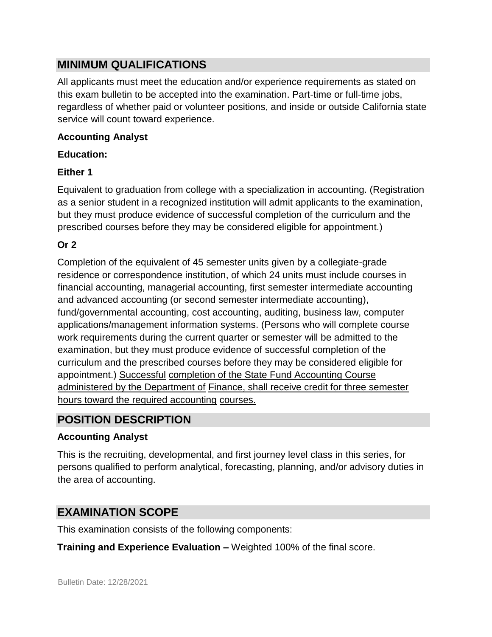## **MINIMUM QUALIFICATIONS**

All applicants must meet the education and/or experience requirements as stated on this exam bulletin to be accepted into the examination. Part-time or full-time jobs, regardless of whether paid or volunteer positions, and inside or outside California state service will count toward experience.

#### **Accounting Analyst**

#### **Education:**

#### **Either 1**

Equivalent to graduation from college with a specialization in accounting. (Registration as a senior student in a recognized institution will admit applicants to the examination, but they must produce evidence of successful completion of the curriculum and the prescribed courses before they may be considered eligible for appointment.)

## **Or 2**

Completion of the equivalent of 45 semester units given by a collegiate-grade residence or correspondence institution, of which 24 units must include courses in financial accounting, managerial accounting, first semester intermediate accounting and advanced accounting (or second semester intermediate accounting), fund/governmental accounting, cost accounting, auditing, business law, computer applications/management information systems. (Persons who will complete course work requirements during the current quarter or semester will be admitted to the examination, but they must produce evidence of successful completion of the curriculum and the prescribed courses before they may be considered eligible for appointment.) Successful completion of the State Fund Accounting Course administered by the Department of Finance, shall receive credit for three semester hours toward the required accounting courses.

# **POSITION DESCRIPTION**

### **Accounting Analyst**

This is the recruiting, developmental, and first journey level class in this series, for persons qualified to perform analytical, forecasting, planning, and/or advisory duties in the area of accounting.

## **EXAMINATION SCOPE**

This examination consists of the following components:

**Training and Experience Evaluation –** Weighted 100% of the final score.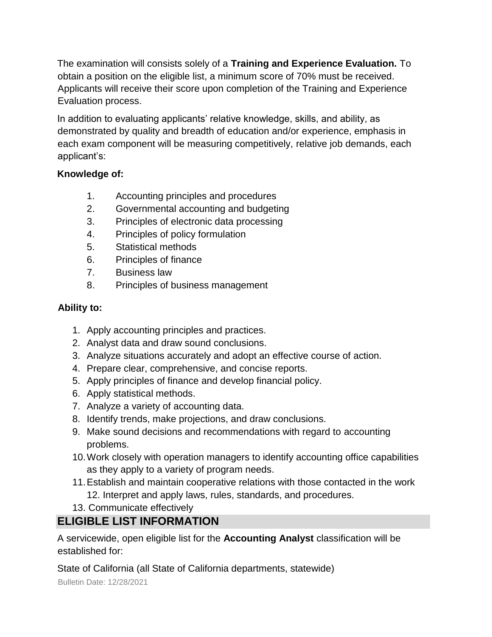The examination will consists solely of a **Training and Experience Evaluation.** To obtain a position on the eligible list, a minimum score of 70% must be received. Applicants will receive their score upon completion of the Training and Experience Evaluation process.

In addition to evaluating applicants' relative knowledge, skills, and ability, as demonstrated by quality and breadth of education and/or experience, emphasis in each exam component will be measuring competitively, relative job demands, each applicant's:

### **Knowledge of:**

- 1. Accounting principles and procedures
- 2. Governmental accounting and budgeting
- 3. Principles of electronic data processing
- 4. Principles of policy formulation
- 5. Statistical methods
- 6. Principles of finance
- 7. Business law
- 8. Principles of business management

## **Ability to:**

- 1. Apply accounting principles and practices.
- 2. Analyst data and draw sound conclusions.
- 3. Analyze situations accurately and adopt an effective course of action.
- 4. Prepare clear, comprehensive, and concise reports.
- 5. Apply principles of finance and develop financial policy.
- 6. Apply statistical methods.
- 7. Analyze a variety of accounting data.
- 8. Identify trends, make projections, and draw conclusions.
- 9. Make sound decisions and recommendations with regard to accounting problems.
- 10.Work closely with operation managers to identify accounting office capabilities as they apply to a variety of program needs.
- 11.Establish and maintain cooperative relations with those contacted in the work 12. Interpret and apply laws, rules, standards, and procedures.
- 13. Communicate effectively

# **ELIGIBLE LIST INFORMATION**

A servicewide, open eligible list for the **Accounting Analyst** classification will be established for:

State of California (all State of California departments, statewide)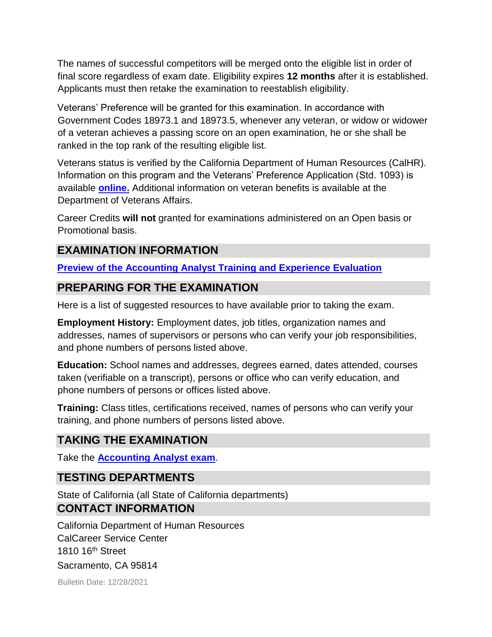The names of successful competitors will be merged onto the eligible list in order of final score regardless of exam date. Eligibility expires **12 months** after it is established. Applicants must then retake the examination to reestablish eligibility.

Veterans' Preference will be granted for this examination. In accordance with Government Codes 18973.1 and 18973.5, whenever any veteran, or widow or widower of a veteran achieves a passing score on an open examination, he or she shall be ranked in the top rank of the resulting eligible list.

Veterans status is verified by the California Department of Human Resources (CalHR). Information on this program and the Veterans' Preference Application (Std. 1093) is available **[online.](https://www.jobs.ca.gov/CalHRPublic/Landing/Jobs/VeteransInformation.aspx)** [A](https://www.jobs.ca.gov/CalHRPublic/Landing/Jobs/VeteransInformation.aspx)dditional information on veteran benefits is available at the Department of Veterans Affairs.

Career Credits **will not** granted for examinations administered on an Open basis or Promotional basis.

## **EXAMINATION INFORMATION**

**[Preview of the Accounting Analyst Training and Experience Evaluation](https://jobs.ca.gov/jobsgen/5PB38c.pdf)**

### **PREPARING FOR THE EXAMINATION**

Here is a list of suggested resources to have available prior to taking the exam.

**Employment History:** Employment dates, job titles, organization names and addresses, names of supervisors or persons who can verify your job responsibilities, and phone numbers of persons listed above.

**Education:** School names and addresses, degrees earned, dates attended, courses taken (verifiable on a transcript), persons or office who can verify education, and phone numbers of persons or offices listed above.

**Training:** Class titles, certifications received, names of persons who can verify your training, and phone numbers of persons listed above.

# **TAKING THE EXAMINATION**

Take the **[Accounting Analyst exam](https://www.jobs.ca.gov/CalHRPublic/Login.aspx?ExamId=5PB38)**[.](https://www.jobs.ca.gov/CalHRPublic/Login.aspx?ExamId=5PB38)

# **TESTING DEPARTMENTS**

State of California (all State of California departments) **CONTACT INFORMATION** 

California Department of Human Resources CalCareer Service Center 1810 16th Street Sacramento, CA 95814

Bulletin Date: 12/28/2021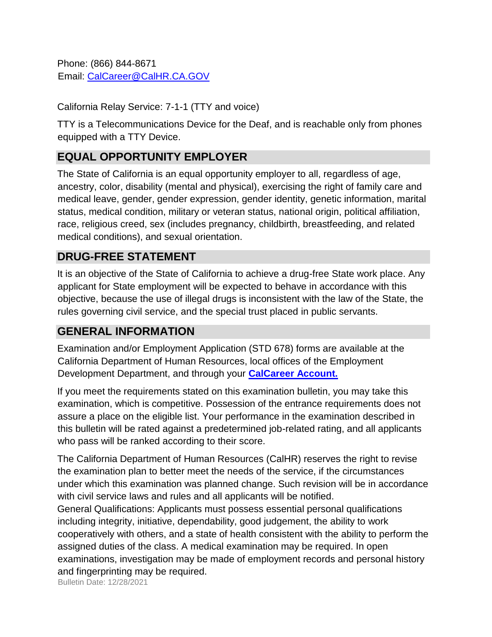Phone: (866) 844-8671 Email: CalCareer@CalHR.CA.GOV

California Relay Service: 7-1-1 (TTY and voice)

TTY is a Telecommunications Device for the Deaf, and is reachable only from phones equipped with a TTY Device.

# **EQUAL OPPORTUNITY EMPLOYER**

The State of California is an equal opportunity employer to all, regardless of age, ancestry, color, disability (mental and physical), exercising the right of family care and medical leave, gender, gender expression, gender identity, genetic information, marital status, medical condition, military or veteran status, national origin, political affiliation, race, religious creed, sex (includes pregnancy, childbirth, breastfeeding, and related medical conditions), and sexual orientation.

## **DRUG-FREE STATEMENT**

It is an objective of the State of California to achieve a drug-free State work place. Any applicant for State employment will be expected to behave in accordance with this objective, because the use of illegal drugs is inconsistent with the law of the State, the rules governing civil service, and the special trust placed in public servants.

# **GENERAL INFORMATION**

Examination and/or Employment Application (STD 678) forms are available at the California Department of Human Resources, local offices of the Employment Development Department, and through your **[CalCareer Account.](http://www.jobs.ca.gov/)**

If you meet the requirements stated on this examination bulletin, you may take this examination, which is competitive. Possession of the entrance requirements does not assure a place on the eligible list. Your performance in the examination described in this bulletin will be rated against a predetermined job-related rating, and all applicants who pass will be ranked according to their score.

The California Department of Human Resources (CalHR) reserves the right to revise the examination plan to better meet the needs of the service, if the circumstances under which this examination was planned change. Such revision will be in accordance with civil service laws and rules and all applicants will be notified.

General Qualifications: Applicants must possess essential personal qualifications including integrity, initiative, dependability, good judgement, the ability to work cooperatively with others, and a state of health consistent with the ability to perform the assigned duties of the class. A medical examination may be required. In open examinations, investigation may be made of employment records and personal history and fingerprinting may be required.

Bulletin Date: 12/28/2021